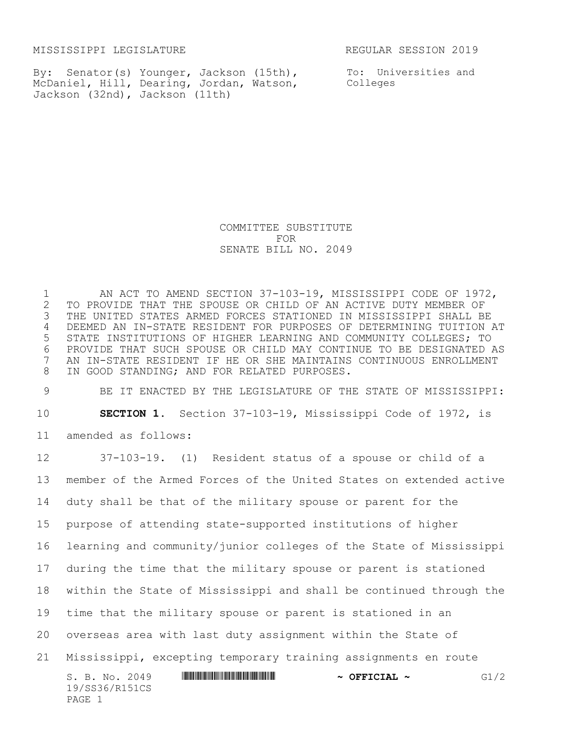MISSISSIPPI LEGISLATURE **REGULAR SESSION 2019** 

PAGE 1

By: Senator(s) Younger, Jackson (15th), McDaniel, Hill, Dearing, Jordan, Watson, Jackson (32nd), Jackson (11th)

To: Universities and Colleges

COMMITTEE SUBSTITUTE FOR SENATE BILL NO. 2049

 AN ACT TO AMEND SECTION 37-103-19, MISSISSIPPI CODE OF 1972, TO PROVIDE THAT THE SPOUSE OR CHILD OF AN ACTIVE DUTY MEMBER OF THE UNITED STATES ARMED FORCES STATIONED IN MISSISSIPPI SHALL BE DEEMED AN IN-STATE RESIDENT FOR PURPOSES OF DETERMINING TUITION AT STATE INSTITUTIONS OF HIGHER LEARNING AND COMMUNITY COLLEGES; TO PROVIDE THAT SUCH SPOUSE OR CHILD MAY CONTINUE TO BE DESIGNATED AS AN IN-STATE RESIDENT IF HE OR SHE MAINTAINS CONTINUOUS ENROLLMENT IN GOOD STANDING; AND FOR RELATED PURPOSES.

 BE IT ENACTED BY THE LEGISLATURE OF THE STATE OF MISSISSIPPI: **SECTION 1.** Section 37-103-19, Mississippi Code of 1972, is amended as follows:

S. B. No. 2049 \*SS36/R151CS\* **~ OFFICIAL ~** G1/2 19/SS36/R151CS 37-103-19. (1) Resident status of a spouse or child of a member of the Armed Forces of the United States on extended active duty shall be that of the military spouse or parent for the purpose of attending state-supported institutions of higher learning and community/junior colleges of the State of Mississippi during the time that the military spouse or parent is stationed within the State of Mississippi and shall be continued through the time that the military spouse or parent is stationed in an overseas area with last duty assignment within the State of Mississippi, excepting temporary training assignments en route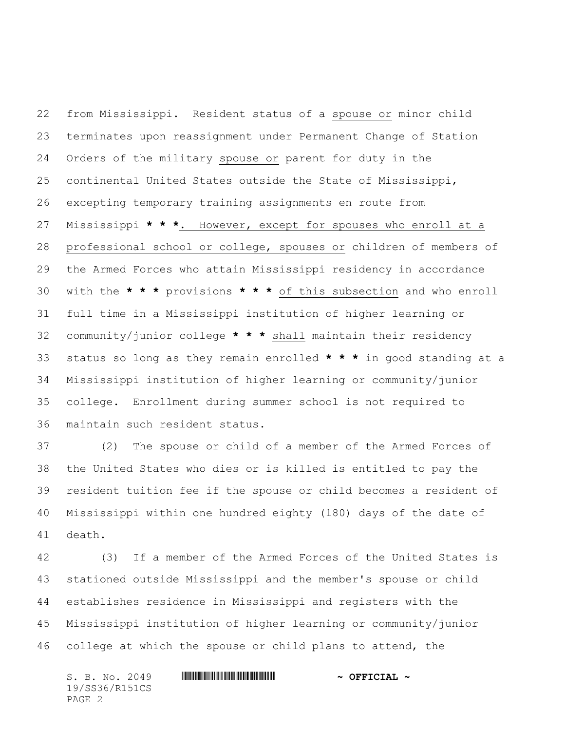from Mississippi. Resident status of a spouse or minor child terminates upon reassignment under Permanent Change of Station Orders of the military spouse or parent for duty in the continental United States outside the State of Mississippi, excepting temporary training assignments en route from Mississippi **\* \* \***. However, except for spouses who enroll at a professional school or college, spouses or children of members of the Armed Forces who attain Mississippi residency in accordance with the **\* \* \*** provisions **\* \* \*** of this subsection and who enroll full time in a Mississippi institution of higher learning or community/junior college **\* \* \*** shall maintain their residency status so long as they remain enrolled **\* \* \*** in good standing at a Mississippi institution of higher learning or community/junior college. Enrollment during summer school is not required to maintain such resident status.

 (2) The spouse or child of a member of the Armed Forces of the United States who dies or is killed is entitled to pay the resident tuition fee if the spouse or child becomes a resident of Mississippi within one hundred eighty (180) days of the date of death.

 (3) If a member of the Armed Forces of the United States is stationed outside Mississippi and the member's spouse or child establishes residence in Mississippi and registers with the Mississippi institution of higher learning or community/junior college at which the spouse or child plans to attend, the

S. B. No. 2049 **\*\*\* AND \*\*\* SEE ALLEST \*\*\* ASSESSED \*\*\*** \*\*\* OFFICIAL \*\* 19/SS36/R151CS PAGE 2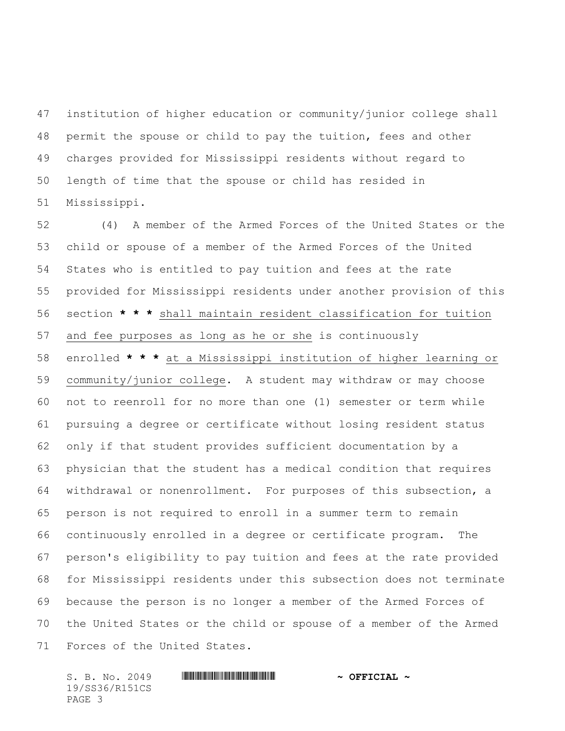institution of higher education or community/junior college shall permit the spouse or child to pay the tuition, fees and other charges provided for Mississippi residents without regard to length of time that the spouse or child has resided in Mississippi.

 (4) A member of the Armed Forces of the United States or the child or spouse of a member of the Armed Forces of the United States who is entitled to pay tuition and fees at the rate provided for Mississippi residents under another provision of this section **\* \* \*** shall maintain resident classification for tuition and fee purposes as long as he or she is continuously enrolled **\* \* \*** at a Mississippi institution of higher learning or community/junior college. A student may withdraw or may choose not to reenroll for no more than one (1) semester or term while pursuing a degree or certificate without losing resident status only if that student provides sufficient documentation by a physician that the student has a medical condition that requires withdrawal or nonenrollment. For purposes of this subsection, a person is not required to enroll in a summer term to remain continuously enrolled in a degree or certificate program. The person's eligibility to pay tuition and fees at the rate provided for Mississippi residents under this subsection does not terminate because the person is no longer a member of the Armed Forces of the United States or the child or spouse of a member of the Armed Forces of the United States.

S. B. No. 2049 **\*\*\* AND \*\*\* SEE ALLEST \*\*\* ASSESSED \*\*\*** \*\*\* OFFICIAL \*\* 19/SS36/R151CS PAGE 3